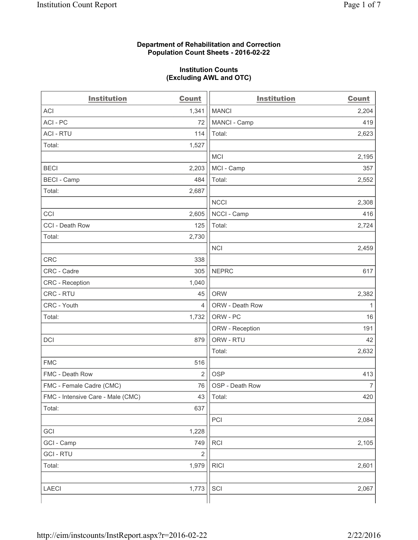#### **Department of Rehabilitation and Correction Population Count Sheets - 2016-02-22**

#### **Institution Counts (Excluding AWL and OTC)**

| <b>Institution</b>                | <b>Count</b>   | <b>Institution</b> | <b>Count</b>   |
|-----------------------------------|----------------|--------------------|----------------|
| <b>ACI</b>                        | 1,341          | <b>MANCI</b>       | 2,204          |
| ACI-PC                            | 72             | MANCI - Camp       | 419            |
| <b>ACI - RTU</b>                  | 114            | Total:             | 2,623          |
| Total:                            | 1,527          |                    |                |
|                                   |                | <b>MCI</b>         | 2,195          |
| <b>BECI</b>                       | 2,203          | MCI - Camp         | 357            |
| <b>BECI - Camp</b>                | 484            | Total:             | 2,552          |
| Total:                            | 2,687          |                    |                |
|                                   |                | <b>NCCI</b>        | 2,308          |
| CCI                               | 2,605          | NCCI - Camp        | 416            |
| CCI - Death Row                   | 125            | Total:             | 2,724          |
| Total:                            | 2,730          |                    |                |
|                                   |                | <b>NCI</b>         | 2,459          |
| <b>CRC</b>                        | 338            |                    |                |
| CRC - Cadre                       | 305            | <b>NEPRC</b>       | 617            |
| CRC - Reception                   | 1,040          |                    |                |
| CRC - RTU                         | 45             | <b>ORW</b>         | 2,382          |
| CRC - Youth                       | 4              | ORW - Death Row    | 1              |
| Total:                            | 1,732          | ORW - PC           | 16             |
|                                   |                | ORW - Reception    | 191            |
| DCI                               | 879            | ORW - RTU          | 42             |
|                                   |                | Total:             | 2,632          |
| <b>FMC</b>                        | 516            |                    |                |
| FMC - Death Row                   | $\overline{2}$ | <b>OSP</b>         | 413            |
| FMC - Female Cadre (CMC)          | 76             | OSP - Death Row    | $\overline{7}$ |
| FMC - Intensive Care - Male (CMC) | 43             | Total:             | 420            |
| Total:                            | 637            |                    |                |
|                                   |                | PCI                | 2,084          |
| GCI                               | 1,228          |                    |                |
| GCI - Camp                        | 749            | RCI                | 2,105          |
| <b>GCI-RTU</b>                    | $\overline{2}$ |                    |                |
| Total:                            | 1,979          | <b>RICI</b>        | 2,601          |
|                                   |                |                    |                |
| LAECI                             | 1,773          | SCI                | 2,067          |
|                                   |                |                    |                |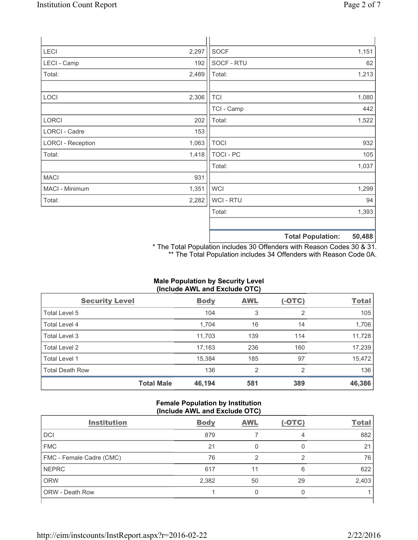| <b>LECI</b>              | 2,297 | SOCF             |                          | 1,151  |
|--------------------------|-------|------------------|--------------------------|--------|
| LECI - Camp              | 192   | SOCF - RTU       |                          | 62     |
| Total:                   | 2,489 | Total:           |                          | 1,213  |
|                          |       |                  |                          |        |
| LOCI                     | 2,306 | <b>TCI</b>       |                          | 1,080  |
|                          |       | TCI - Camp       |                          | 442    |
| LORCI                    | 202   | Total:           |                          | 1,522  |
| LORCI - Cadre            | 153   |                  |                          |        |
| <b>LORCI - Reception</b> | 1,063 | <b>TOCI</b>      |                          | 932    |
| Total:                   | 1,418 | <b>TOCI - PC</b> |                          | 105    |
|                          |       | Total:           |                          | 1,037  |
| <b>MACI</b>              | 931   |                  |                          |        |
| MACI - Minimum           | 1,351 | <b>WCI</b>       |                          | 1,299  |
| Total:                   | 2,282 | <b>WCI-RTU</b>   |                          | 94     |
|                          |       | Total:           |                          | 1,393  |
|                          |       |                  |                          |        |
|                          |       |                  | <b>Total Population:</b> | 50,488 |

\* The Total Population includes 30 Offenders with Reason Codes 30 & 31. \*\* The Total Population includes 34 Offenders with Reason Code 0A.

# **Male Population by Security Level (Include AWL and Exclude OTC)**

| <b>Security Level</b>  |                   | <b>Body</b> | <b>AWL</b>     | $(-OTC)$ | <b>Total</b> |
|------------------------|-------------------|-------------|----------------|----------|--------------|
| Total Level 5          |                   | 104         | 3              | 2        | 105          |
| <b>Total Level 4</b>   |                   | 1,704       | 16             | 14       | 1,706        |
| Total Level 3          |                   | 11,703      | 139            | 114      | 11,728       |
| Total Level 2          |                   | 17,163      | 236            | 160      | 17,239       |
| Total Level 1          |                   | 15,384      | 185            | 97       | 15,472       |
| <b>Total Death Row</b> |                   | 136         | $\overline{2}$ | 2        | 136          |
|                        | <b>Total Male</b> | 46,194      | 581            | 389      | 46,386       |

## **Female Population by Institution (Include AWL and Exclude OTC)**

| $\frac{1}{2}$            |             |            |          |              |
|--------------------------|-------------|------------|----------|--------------|
| <b>Institution</b>       | <b>Body</b> | <b>AWL</b> | $(-OTC)$ | <b>Total</b> |
| <b>DCI</b>               | 879         |            | 4        | 882          |
| <b>FMC</b>               | 21          |            |          | 21           |
| FMC - Female Cadre (CMC) | 76          | っ          | っ        | 76           |
| <b>NEPRC</b>             | 617         |            | 6        | 622          |
| <b>ORW</b>               | 2,382       | 50         | 29       | 2,403        |
| <b>ORW - Death Row</b>   |             |            |          |              |
|                          |             |            |          |              |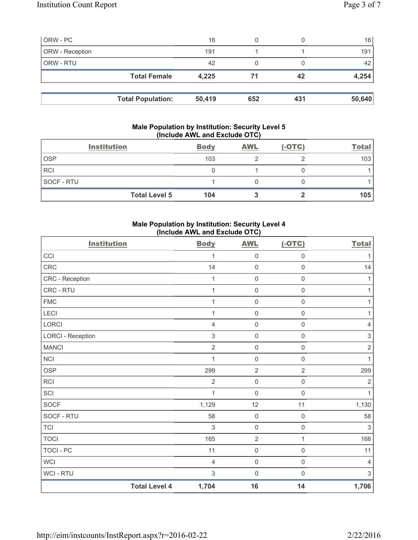| ORW - PC        |                          | 16     |     |     | 16     |
|-----------------|--------------------------|--------|-----|-----|--------|
| ORW - Reception |                          | 191    |     |     | 191 l  |
| ORW - RTU       |                          | 42     |     |     | 42     |
|                 | <b>Total Female</b>      | 4,225  |     | 42  | 4,254  |
|                 |                          |        |     |     |        |
|                 | <b>Total Population:</b> | 50,419 | 652 | 431 | 50,640 |

## **Male Population by Institution: Security Level 5 (Include AWL and Exclude OTC)**

|            | <b>Institution</b>   | <b>Body</b> | <b>AWL</b> | $(-OTC)$ | <b>Total</b> |
|------------|----------------------|-------------|------------|----------|--------------|
| <b>OSP</b> |                      | 103         |            |          | 103          |
| <b>RCI</b> |                      |             |            |          |              |
| SOCF - RTU |                      |             |            |          |              |
|            | <b>Total Level 5</b> | 104         |            |          | 105          |

## **Male Population by Institution: Security Level 4 (Include AWL and Exclude OTC)**

| <b>Institution</b>       |                      | <b>Body</b>    | <b>AWL</b>          | $(-OTC)$            | <b>Total</b>              |
|--------------------------|----------------------|----------------|---------------------|---------------------|---------------------------|
| CCI                      |                      | 1              | $\mathsf 0$         | 0                   | 1                         |
| CRC                      |                      | 14             | $\mathbf 0$         | $\mathsf{O}\xspace$ | 14                        |
| CRC - Reception          |                      | 1              | $\mathsf 0$         | $\mathsf{O}\xspace$ | 1                         |
| CRC - RTU                |                      | 1              | $\mathbf 0$         | $\mathsf{O}\xspace$ | $\mathbf{1}$              |
| <b>FMC</b>               |                      | 1              | $\mathbf 0$         | $\mathsf{O}\xspace$ | 1                         |
| LECI                     |                      | 1              | $\mathsf{O}\xspace$ | $\mathsf{O}\xspace$ | 1                         |
| LORCI                    |                      | 4              | $\mathbf 0$         | 0                   | $\overline{4}$            |
| <b>LORCI - Reception</b> |                      | $\sqrt{3}$     | $\mathbf 0$         | $\mathsf{O}\xspace$ | $\,$ 3 $\,$               |
| <b>MANCI</b>             |                      | $\overline{2}$ | $\mathsf{O}\xspace$ | $\mathsf{O}\xspace$ | $\sqrt{2}$                |
| NCI                      |                      | 1              | $\mathbf 0$         | $\mathsf 0$         | $\mathbf{1}$              |
| <b>OSP</b>               |                      | 299            | $\overline{2}$      | $\overline{2}$      | 299                       |
| RCI                      |                      | $\overline{2}$ | $\mathsf 0$         | $\mathsf{O}\xspace$ | $\overline{2}$            |
| SCI                      |                      | 1              | $\mathbf 0$         | $\mathsf{O}\xspace$ | $\mathbf{1}$              |
| <b>SOCF</b>              |                      | 1,129          | 12                  | 11                  | 1,130                     |
| SOCF - RTU               |                      | 58             | $\mathsf 0$         | $\mathsf{O}\xspace$ | 58                        |
| <b>TCI</b>               |                      | 3              | $\mathsf{O}\xspace$ | $\mathsf{O}\xspace$ | $\sqrt{3}$                |
| <b>TOCI</b>              |                      | 165            | $\sqrt{2}$          | $\mathbf{1}$        | 166                       |
| <b>TOCI - PC</b>         |                      | 11             | $\mathsf{O}\xspace$ | $\mathsf 0$         | 11                        |
| <b>WCI</b>               |                      | $\overline{4}$ | $\mathsf{O}\xspace$ | $\mathsf{O}\xspace$ | $\overline{4}$            |
| WCI - RTU                |                      | $\sqrt{3}$     | $\mathbf 0$         | 0                   | $\ensuremath{\mathsf{3}}$ |
|                          | <b>Total Level 4</b> | 1,704          | 16                  | 14                  | 1,706                     |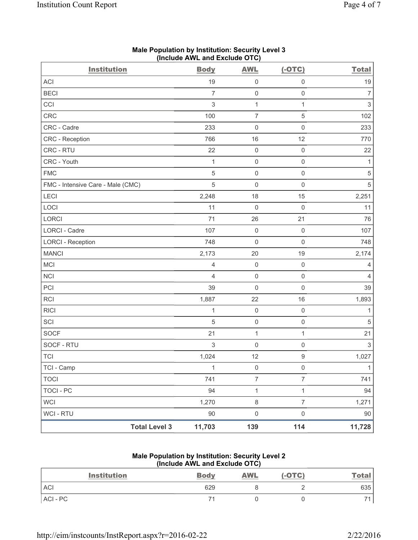| Page 4 of 7 |  |  |  |
|-------------|--|--|--|
|-------------|--|--|--|

| <b>Institution</b>                | <b>Body</b>    | <b>AWL</b>          | $(-OTC)$            | <b>Total</b>              |
|-----------------------------------|----------------|---------------------|---------------------|---------------------------|
| ACI                               | 19             | $\mathsf 0$         | $\mathsf 0$         | 19                        |
| <b>BECI</b>                       | $\overline{7}$ | $\mathsf 0$         | $\mathsf 0$         | $\overline{7}$            |
| CCI                               | $\,$ 3 $\,$    | $\mathbf{1}$        | $\mathbf{1}$        | $\ensuremath{\mathsf{3}}$ |
| <b>CRC</b>                        | 100            | $\overline{7}$      | $\,$ 5 $\,$         | 102                       |
| CRC - Cadre                       | 233            | $\mathbf 0$         | $\mathsf{O}\xspace$ | 233                       |
| <b>CRC</b> - Reception            | 766            | 16                  | 12                  | 770                       |
| CRC - RTU                         | 22             | $\mathsf 0$         | $\mathsf{O}\xspace$ | 22                        |
| CRC - Youth                       | 1              | $\mathsf 0$         | $\mathsf 0$         | 1                         |
| <b>FMC</b>                        | 5              | $\mathbf 0$         | $\mathsf 0$         | $\sqrt{5}$                |
| FMC - Intensive Care - Male (CMC) | $\sqrt{5}$     | $\mathsf{O}\xspace$ | $\mathsf{O}\xspace$ | $\sqrt{5}$                |
| LECI                              | 2,248          | 18                  | 15                  | 2,251                     |
| LOCI                              | 11             | $\mathsf 0$         | $\mathsf{O}\xspace$ | 11                        |
| LORCI                             | 71             | 26                  | 21                  | 76                        |
| LORCI - Cadre                     | 107            | $\mathsf 0$         | $\mathsf 0$         | 107                       |
| <b>LORCI - Reception</b>          | 748            | $\mathsf{O}\xspace$ | $\mathsf 0$         | 748                       |
| <b>MANCI</b>                      | 2,173          | 20                  | 19                  | 2,174                     |
| <b>MCI</b>                        | $\overline{4}$ | $\mathsf 0$         | $\mathsf{O}\xspace$ | 4                         |
| <b>NCI</b>                        | $\overline{4}$ | $\mathsf 0$         | $\mathsf{O}\xspace$ | $\overline{4}$            |
| PCI                               | 39             | $\mathbf 0$         | $\mathbf 0$         | 39                        |
| <b>RCI</b>                        | 1,887          | 22                  | 16                  | 1,893                     |
| <b>RICI</b>                       | 1              | $\mathbf 0$         | $\mathsf{O}\xspace$ | $\mathbf{1}$              |
| SCI                               | $\sqrt{5}$     | $\mathsf{O}\xspace$ | $\mathsf{O}\xspace$ | $\sqrt{5}$                |
| <b>SOCF</b>                       | 21             | $\mathbf{1}$        | $\mathbf{1}$        | 21                        |
| SOCF - RTU                        | 3              | $\mathbf 0$         | 0                   | 3                         |
| <b>TCI</b>                        | 1,024          | 12                  | $\boldsymbol{9}$    | 1,027                     |
| TCI - Camp                        | $\mathbf{1}$   | $\mathsf 0$         | $\mathsf{O}\xspace$ | $\mathbf{1}$              |
| <b>TOCI</b>                       | 741            | $\overline{7}$      | $\overline{7}$      | 741                       |
| <b>TOCI - PC</b>                  | 94             | $\mathbf 1$         | 1                   | 94                        |
| <b>WCI</b>                        | 1,270          | $\,8\,$             | $\overline{7}$      | 1,271                     |
| WCI - RTU                         | 90             | $\mathsf{O}\xspace$ | $\mathsf{O}\xspace$ | 90                        |
| <b>Total Level 3</b>              | 11,703         | 139                 | 114                 | 11,728                    |

# **Male Population by Institution: Security Level 3 (Include AWL and Exclude OTC)**

#### **Male Population by Institution: Security Level 2 (Include AWL and Exclude OTC)**

| <b>Institution</b> | <b>Body</b> | <b>AWL</b> | $(-OTC)$ | <u>Total</u> |
|--------------------|-------------|------------|----------|--------------|
| <b>ACI</b>         | 629         |            |          | 635          |
| ACI - PC           |             |            |          |              |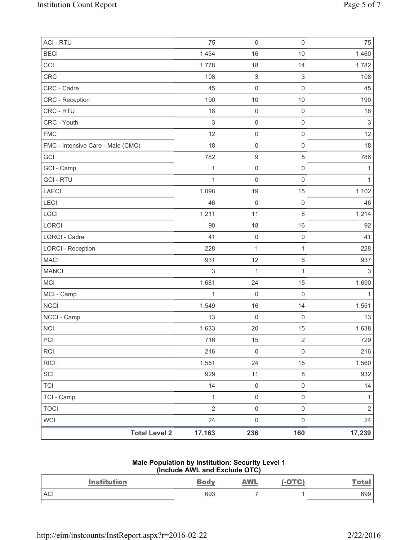| <b>ACI - RTU</b>                  | 75             | $\mathsf{O}\xspace$       | $\mathbf 0$             | 75             |
|-----------------------------------|----------------|---------------------------|-------------------------|----------------|
| <b>BECI</b>                       | 1,454          | 16                        | 10                      | 1,460          |
| CCI                               | 1,778          | 18                        | 14                      | 1,782          |
| <b>CRC</b>                        | 108            | $\ensuremath{\mathsf{3}}$ | $\mathsf 3$             | 108            |
| CRC - Cadre                       | 45             | 0                         | $\mathbf 0$             | 45             |
| <b>CRC</b> - Reception            | 190            | $10$                      | 10                      | 190            |
| CRC - RTU                         | 18             | $\mathsf{O}\xspace$       | $\mathbf 0$             | 18             |
| CRC - Youth                       | 3              | $\mathsf{O}\xspace$       | $\mathsf{O}\xspace$     | $\mathsf 3$    |
| <b>FMC</b>                        | 12             | $\mathsf{O}\xspace$       | $\mathsf{O}\xspace$     | 12             |
| FMC - Intensive Care - Male (CMC) | 18             | $\mathsf{O}\xspace$       | $\mathsf{O}\xspace$     | 18             |
| GCI                               | 782            | $\boldsymbol{9}$          | 5                       | 786            |
| GCI - Camp                        | $\mathbf{1}$   | $\mathsf{O}\xspace$       | $\mathsf{O}\xspace$     | 1              |
| <b>GCI - RTU</b>                  | $\mathbf{1}$   | $\mathsf{O}\xspace$       | $\mathbf 0$             | 1              |
| LAECI                             | 1,098          | 19                        | 15                      | 1,102          |
| LECI                              | 46             | $\mathsf{O}\xspace$       | $\mathbf 0$             | 46             |
| LOCI                              | 1,211          | 11                        | $\,8\,$                 | 1,214          |
| LORCI                             | 90             | 18                        | 16                      | 92             |
| LORCI - Cadre                     | 41             | $\mathsf{O}\xspace$       | $\mathbf 0$             | 41             |
| <b>LORCI - Reception</b>          | 228            | $\mathbf 1$               | $\mathbf{1}$            | 228            |
| <b>MACI</b>                       | 931            | 12                        | $\,6$                   | 937            |
| <b>MANCI</b>                      | $\mathsf 3$    | 1                         | 1                       | 3              |
| <b>MCI</b>                        | 1,681          | 24                        | 15                      | 1,690          |
| MCI - Camp                        | $\mathbf{1}$   | $\mathsf{O}\xspace$       | $\mathbf 0$             | $\mathbf 1$    |
| <b>NCCI</b>                       | 1,549          | 16                        | 14                      | 1,551          |
| NCCI - Camp                       | 13             | 0                         | $\mathbf 0$             | 13             |
| <b>NCI</b>                        | 1,633          | 20                        | 15                      | 1,638          |
| PCI                               | 716            | 15                        | $\overline{\mathbf{c}}$ | 729            |
| <b>RCI</b>                        | 216            | $\mathsf{O}\xspace$       | $\mathsf{O}\xspace$     | 216            |
| <b>RICI</b>                       | 1,551          | 24                        | 15                      | 1,560          |
| SCI                               | 929            | 11                        | 8                       | 932            |
| <b>TCI</b>                        | 14             | $\mathsf{O}\xspace$       | $\mathsf{O}\xspace$     | 14             |
| TCI - Camp                        | $\mathbf{1}$   | $\mathsf{O}\xspace$       | $\mathsf{O}\xspace$     | 1              |
| <b>TOCI</b>                       | $\overline{2}$ | $\mathsf{O}\xspace$       | $\mathsf{O}\xspace$     | $\overline{2}$ |
| <b>WCI</b>                        | 24             | $\mathsf{O}\xspace$       | $\mathsf{O}\xspace$     | 24             |
| <b>Total Level 2</b>              | 17,163         | 236                       | 160                     | 17,239         |

# **Male Population by Institution: Security Level 1 (Include AWL and Exclude OTC)**

| <b>Institution</b> | <b>Body</b> | <u>AWL</u> | $( -$ OTC $)$ | <u>Total</u> |
|--------------------|-------------|------------|---------------|--------------|
| <b>ACI</b>         | 693         |            |               | 699          |
|                    |             |            |               |              |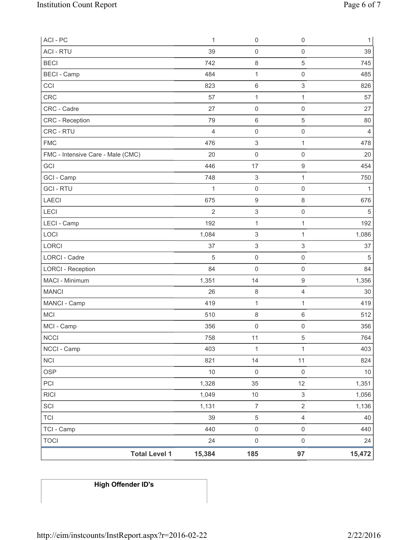| ACI - PC                          | $\mathbf{1}$   | $\mathsf 0$               | $\mathsf 0$               | $\mathbf{1}$   |
|-----------------------------------|----------------|---------------------------|---------------------------|----------------|
| <b>ACI - RTU</b>                  | 39             | $\mathsf 0$               | $\mathsf 0$               | 39             |
| <b>BECI</b>                       | 742            | $\,8\,$                   | 5                         | 745            |
| <b>BECI - Camp</b>                | 484            | $\mathbf{1}$              | $\mathsf{O}\xspace$       | 485            |
| CCI                               | 823            | 6                         | 3                         | 826            |
| <b>CRC</b>                        | 57             | 1                         | $\mathbf{1}$              | 57             |
| CRC - Cadre                       | 27             | 0                         | $\mathsf 0$               | 27             |
| CRC - Reception                   | 79             | 6                         | 5                         | 80             |
| CRC - RTU                         | $\overline{4}$ | $\mathsf 0$               | $\mathsf{O}\xspace$       | $\overline{4}$ |
| <b>FMC</b>                        | 476            | $\ensuremath{\mathsf{3}}$ | $\mathbf{1}$              | 478            |
| FMC - Intensive Care - Male (CMC) | 20             | 0                         | $\mathsf 0$               | 20             |
| GCI                               | 446            | 17                        | $\boldsymbol{9}$          | 454            |
| GCI - Camp                        | 748            | $\ensuremath{\mathsf{3}}$ | $\mathbf{1}$              | 750            |
| <b>GCI-RTU</b>                    | $\mathbf{1}$   | $\mathsf 0$               | $\mathsf{O}\xspace$       | $\mathbf{1}$   |
| <b>LAECI</b>                      | 675            | $\boldsymbol{9}$          | $\,8\,$                   | 676            |
| LECI                              | $\overline{2}$ | $\ensuremath{\mathsf{3}}$ | $\mathsf 0$               | 5              |
| LECI - Camp                       | 192            | $\mathbf 1$               | $\mathbf{1}$              | 192            |
| LOCI                              | 1,084          | 3                         | $\mathbf{1}$              | 1,086          |
| LORCI                             | 37             | $\ensuremath{\mathsf{3}}$ | $\ensuremath{\mathsf{3}}$ | 37             |
| <b>LORCI - Cadre</b>              | $\sqrt{5}$     | $\mathsf 0$               | $\mathsf 0$               | 5              |
| <b>LORCI - Reception</b>          | 84             | 0                         | $\mathsf 0$               | 84             |
| MACI - Minimum                    | 1,351          | 14                        | $\mathsf 9$               | 1,356          |
| <b>MANCI</b>                      | 26             | 8                         | $\overline{4}$            | 30             |
| MANCI - Camp                      | 419            | $\mathbf{1}$              | $\mathbf{1}$              | 419            |
| <b>MCI</b>                        | 510            | 8                         | $\,6\,$                   | 512            |
| MCI - Camp                        | 356            | $\boldsymbol{0}$          | $\mathsf{O}\xspace$       | 356            |
| <b>NCCI</b>                       | 758            | 11                        | 5                         | 764            |
| NCCI - Camp                       | 403            | $\mathbf{1}$              | $\mathbf{1}$              | 403            |
| <b>NCI</b>                        | 821            | 14                        | 11                        | 824            |
| <b>OSP</b>                        | 10             | $\mathsf 0$               | $\mathsf{O}\xspace$       | $10$           |
| PCI                               | 1,328          | 35                        | 12                        | 1,351          |
| <b>RICI</b>                       | 1,049          | $10$                      | $\mathfrak{S}$            | 1,056          |
| SCI                               | 1,131          | $\overline{7}$            | $\overline{2}$            | 1,136          |
| <b>TCI</b>                        | 39             | $\,$ 5 $\,$               | $\overline{\mathbf{4}}$   | 40             |
| TCI - Camp                        | 440            | $\mathsf{O}\xspace$       | $\mathsf{O}\xspace$       | 440            |
| <b>TOCI</b>                       | 24             | $\mathsf{O}\xspace$       | $\mathsf 0$               | 24             |
| <b>Total Level 1</b>              | 15,384         | 185                       | 97                        | 15,472         |

# **High Offender ID's**